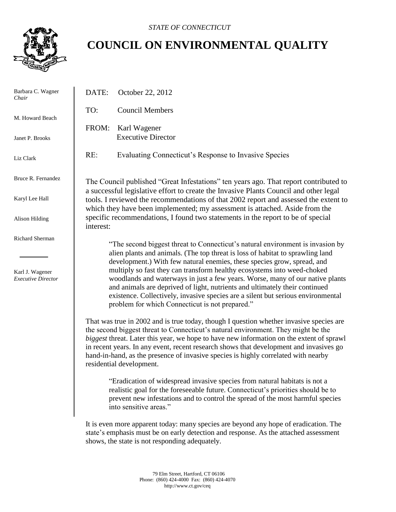

# **COUNCIL ON ENVIRONMENTAL QUALITY**

| Barbara C. Wagner<br>Chair                                      | DATE:                                                                                                                                                                         | October 22, 2012                                                                                                                                                                                                                                                                                                                                                                                                                                                                                                                                                                                                              |
|-----------------------------------------------------------------|-------------------------------------------------------------------------------------------------------------------------------------------------------------------------------|-------------------------------------------------------------------------------------------------------------------------------------------------------------------------------------------------------------------------------------------------------------------------------------------------------------------------------------------------------------------------------------------------------------------------------------------------------------------------------------------------------------------------------------------------------------------------------------------------------------------------------|
| M. Howard Beach                                                 | TO:                                                                                                                                                                           | <b>Council Members</b>                                                                                                                                                                                                                                                                                                                                                                                                                                                                                                                                                                                                        |
| Janet P. Brooks                                                 | FROM:                                                                                                                                                                         | Karl Wagener<br><b>Executive Director</b>                                                                                                                                                                                                                                                                                                                                                                                                                                                                                                                                                                                     |
| Liz Clark                                                       | RE:                                                                                                                                                                           | Evaluating Connecticut's Response to Invasive Species                                                                                                                                                                                                                                                                                                                                                                                                                                                                                                                                                                         |
| Bruce R. Fernandez                                              | The Council published "Great Infestations" ten years ago. That report contributed to<br>a successful legislative effort to create the Invasive Plants Council and other legal |                                                                                                                                                                                                                                                                                                                                                                                                                                                                                                                                                                                                                               |
| Karyl Lee Hall                                                  | tools. I reviewed the recommendations of that 2002 report and assessed the extent to<br>which they have been implemented; my assessment is attached. Aside from the           |                                                                                                                                                                                                                                                                                                                                                                                                                                                                                                                                                                                                                               |
| Alison Hilding                                                  | specific recommendations, I found two statements in the report to be of special<br>interest:                                                                                  |                                                                                                                                                                                                                                                                                                                                                                                                                                                                                                                                                                                                                               |
| Richard Sherman<br>Karl J. Wagener<br><b>Executive Director</b> |                                                                                                                                                                               | "The second biggest threat to Connecticut's natural environment is invasion by<br>alien plants and animals. (The top threat is loss of habitat to sprawling land<br>development.) With few natural enemies, these species grow, spread, and<br>multiply so fast they can transform healthy ecosystems into weed-choked<br>woodlands and waterways in just a few years. Worse, many of our native plants<br>and animals are deprived of light, nutrients and ultimately their continued<br>existence. Collectively, invasive species are a silent but serious environmental<br>problem for which Connecticut is not prepared." |
|                                                                 |                                                                                                                                                                               | That was true in 2002 and is true today, though I question whether invasive species are<br>the second biggest threat to Connecticut's natural environment. They might be the<br>biggest threat. Later this year, we hope to have new information on the extent of sprawl<br>in recent years. In any event, recent research shows that development and invasives go<br>hand-in-hand, as the presence of invasive species is highly correlated with nearby<br>residential development.                                                                                                                                          |
|                                                                 |                                                                                                                                                                               | "Eradication of widespread invasive species from natural habitats is not a<br>realistic goal for the foreseeable future. Connecticut's priorities should be to<br>prevent new infestations and to control the spread of the most harmful species<br>into sensitive areas."                                                                                                                                                                                                                                                                                                                                                    |
|                                                                 |                                                                                                                                                                               | It is even more apparent today: many species are beyond any hope of eradication. The<br>state's emphasis must be on early detection and response. As the attached assessment<br>shows, the state is not responding adequately.                                                                                                                                                                                                                                                                                                                                                                                                |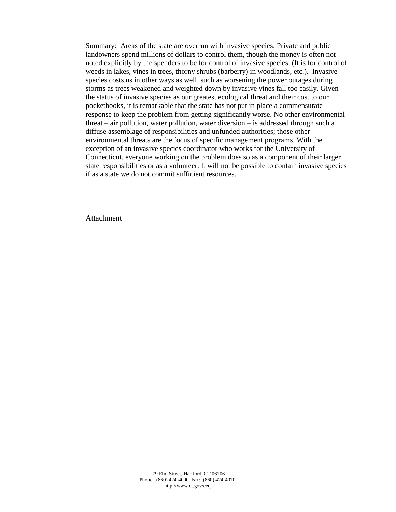Summary: Areas of the state are overrun with invasive species. Private and public landowners spend millions of dollars to control them, though the money is often not noted explicitly by the spenders to be for control of invasive species. (It is for control of weeds in lakes, vines in trees, thorny shrubs (barberry) in woodlands, etc.). Invasive species costs us in other ways as well, such as worsening the power outages during storms as trees weakened and weighted down by invasive vines fall too easily. Given the status of invasive species as our greatest ecological threat and their cost to our pocketbooks, it is remarkable that the state has not put in place a commensurate response to keep the problem from getting significantly worse. No other environmental threat – air pollution, water pollution, water diversion – is addressed through such a diffuse assemblage of responsibilities and unfunded authorities; those other environmental threats are the focus of specific management programs. With the exception of an invasive species coordinator who works for the University of Connecticut, everyone working on the problem does so as a component of their larger state responsibilities or as a volunteer. It will not be possible to contain invasive species if as a state we do not commit sufficient resources.

**Attachment**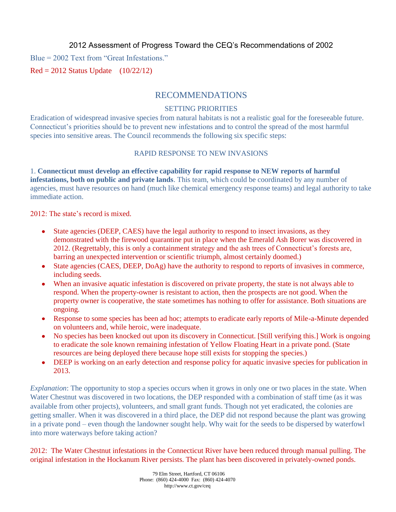2012 Assessment of Progress Toward the CEQ's Recommendations of 2002

Blue = 2002 Text from "Great Infestations."

 $\text{Red} = 2012$  Status Update  $(10/22/12)$ 

### RECOMMENDATIONS

## **SETTING PRIORITIES**

Connecticut's priorities should be to prevent new infestations and to control the spread of the most harmful species into sensitive areas. The Council recommends the following six specific steps: Eradication of widespread invasive species from natural habitats is not a realistic goal for the foreseeable future.

#### for the foreseeable future. Connecticut's priorities should be to prevent new infestations RAPID RESPONSE TO NEW INVASIONS

recommends the following six specific steps: **EXECUTES:** TO NEW TO NEW INVARIATE TO NEW INVARIANCE TO NEW INVESTORS TO NEW YORK OF SUPPORT OF A agencies, must have resources on hand (much like chemical emergency response teams) and legal authority to take 1. **Connecticut must develop an effective capability for rapid response to NEW reports of harmful infestations, both on public and private lands**. This team, which could be coordinated by any number of immediate action.

**reports of harmful infestations, both on public and private lands**. This team, which could be finated. By any number of agencies, must have resources on hand (must have resources on hand (much hand (much hand (much hand (much hand (much hand (much hand (much hand (much hand (much hand (much hand (much hand 2012: The state's record is mixed.

- State agencies (DEEP, CAES) have the legal authority to respond to insect invasions, as they  $\bullet$ demonstrated with the firewood quarantine put in place when the Emerald Ash Borer was discovered in 2012. (Dependent of the state of the state of the state of the state of the state of the state of the state of the state o 2012. (Regrettably, this is only a containment strategy and the ash trees of Connecticut's forests are, barring an unexpected intervention or scientific triumph, almost certainly doomed.)
- $\sum_{i=1}^{\infty}$  State and Legal authority to respond the legal authority to  $\sum_{i=1}^{\infty}$ State agencies (CAES, DEEP, DoAg) have the authority to respond to reports of invasives in commerce, the Emerald Ash Borer was discovered in 2012. (Regrettably, this is only a including seeds.
- $\bullet$ When an invasive aquatic infestation is discovered on private property, the state is not always able to respond. When the property-owner is resistant to action, then the prospects are not good. When the property owner is cooperative, the state sometimes has nothing to offer for assistance. Both situations are ongoing. invasives in commerce, including seeds.
- Response to some species has been ad hoc; attempts to eradicate early reports of Mile-a-Minute depended  $\bullet$ on volunteers and, while heroic, were inadequate. while heroic, were madequate.
- No species has been knocked out upon its discovery in Connecticut. [Still verifying this.] Work is ongoing  $\bullet$ to eradicate the sole known remaining infestation of Yellow Floating Heart in a private pond. (State resources are being deployed there because hope still exists for stopping the species.) exproved there because hope suit exists for stopping the species.)
- DEEP is working on an early detection and response policy for aquatic invasive species for publication in  $\bullet$ 2013.

verifying this.] Work is ongoing to eradicate the sole known remaining *Explanation*: The opportunity to stop a species occurs when it grows in only one or two places in the state. When Water Chestnut was discovered in two locations, the DEP responded with a combination of staff time (as it was available from other projects), volunteers, and small grant funds. Though not yet eradicated, the colonies are getting smaller. When it was discovered in a third place, the DEP did not respond because the plant was growing into more waterways before taking action? in a private pond – even though the landowner sought help. Why wait for the seeds to be dispersed by waterfowl

2012: The Water Chestnut infestations in the Connecticut River have been reduced through manual pulling. The original infestation in the Hockanum River persists. The plant has been discovered in privately-owned ponds.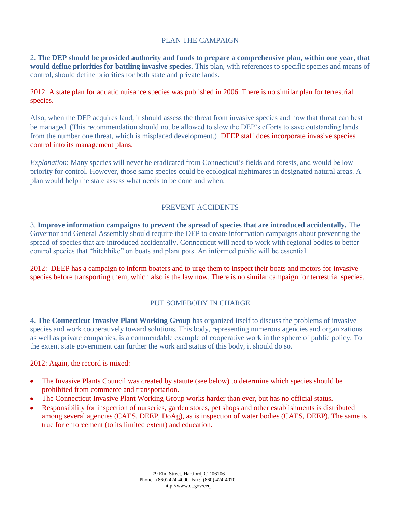#### PLAN THE CAMPAIGN

2. **The DEP should be provided authority and funds to prepare a comprehensive plan, within one year, that would define priorities for battling invasive species.** This plan, with references to specific species and means of control, should define priorities for both state and private lands.

2012: A state plan for aquatic nuisance species was published in 2006. There is no similar plan for terrestrial species.

Also, when the DEP acquires land, it should assess the threat from invasive species and how that threat can best be managed. (This recommendation should not be allowed to slow the DEP's efforts to save outstanding lands from the number one threat, which is misplaced development.) DEEP staff does incorporate invasive species control into its management plans.

*Explanation*: Many species will never be eradicated from Connecticut's fields and forests, and would be low priority for control. However, those same species could be ecological nightmares in designated natural areas. A plan would help the state assess what needs to be done and when.

#### PREVENT ACCIDENTS

3. **Improve information campaigns to prevent the spread of species that are introduced accidentally.** The Governor and General Assembly should require the DEP to create information campaigns about preventing the spread of species that are introduced accidentally. Connecticut will need to work with regional bodies to better control species that "hitchhike" on boats and plant pots. An informed public will be essential.

2012: DEEP has a campaign to inform boaters and to urge them to inspect their boats and motors for invasive species before transporting them, which also is the law now. There is no similar campaign for terrestrial species.

#### PUT SOMEBODY IN CHARGE

4. **The Connecticut Invasive Plant Working Group** has organized itself to discuss the problems of invasive species and work cooperatively toward solutions. This body, representing numerous agencies and organizations as well as private companies, is a commendable example of cooperative work in the sphere of public policy. To the extent state government can further the work and status of this body, it should do so.

2012: Again, the record is mixed:

- The Invasive Plants Council was created by statute (see below) to determine which species should be  $\bullet$ prohibited from commerce and transportation.
- The Connecticut Invasive Plant Working Group works harder than ever, but has no official status.  $\bullet$
- Responsibility for inspection of nurseries, garden stores, pet shops and other establishments is distributed among several agencies (CAES, DEEP, DoAg), as is inspection of water bodies (CAES, DEEP). The same is true for enforcement (to its limited extent) and education.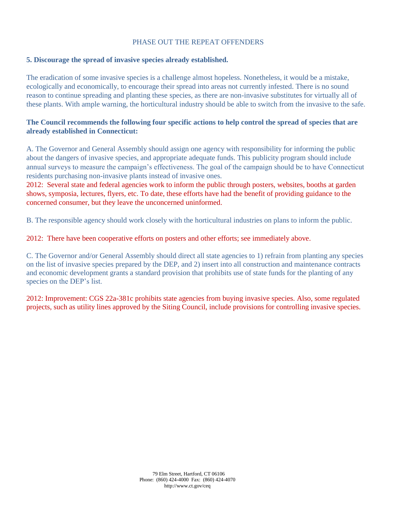#### PHASE OUT THE REPEAT OFFENDERS

#### **5. Discourage the spread of invasive species already established.**

The eradication of some invasive species is a challenge almost hopeless. Nonetheless, it would be a mistake, ecologically and economically, to encourage their spread into areas not currently infested. There is no sound reason to continue spreading and planting these species, as there are non-invasive substitutes for virtually all of these plants. With ample warning, the horticultural industry should be able to switch from the invasive to the safe.

#### **The Council recommends the following four specific actions to help control the spread of species that are already established in Connecticut:**

A. The Governor and General Assembly should assign one agency with responsibility for informing the public about the dangers of invasive species, and appropriate adequate funds. This publicity program should include annual surveys to measure the campaign's effectiveness. The goal of the campaign should be to have Connecticut residents purchasing non-invasive plants instead of invasive ones.

2012: Several state and federal agencies work to inform the public through posters, websites, booths at garden shows, symposia, lectures, flyers, etc. To date, these efforts have had the benefit of providing guidance to the concerned consumer, but they leave the unconcerned uninformed.

B. The responsible agency should work closely with the horticultural industries on plans to inform the public.

2012: There have been cooperative efforts on posters and other efforts; see immediately above.

C. The Governor and/or General Assembly should direct all state agencies to 1) refrain from planting any species on the list of invasive species prepared by the DEP, and 2) insert into all construction and maintenance contracts and economic development grants a standard provision that prohibits use of state funds for the planting of any species on the DEP's list.

2012: Improvement: CGS 22a-381c prohibits state agencies from buying invasive species. Also, some regulated projects, such as utility lines approved by the Siting Council, include provisions for controlling invasive species.